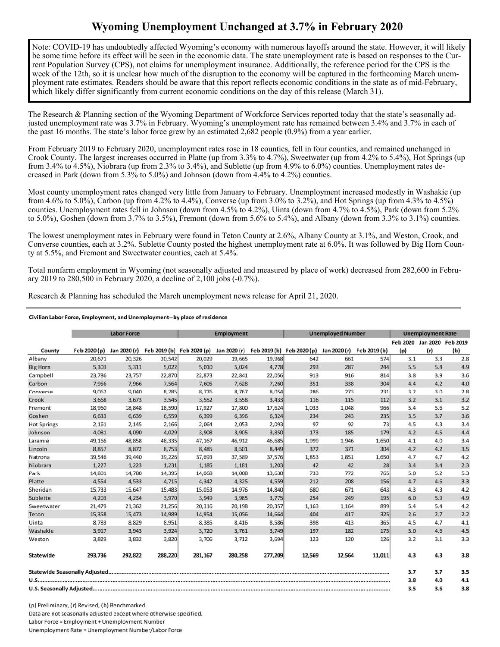## **Wyoming Unemployment Unchanged at 3.7% in February 2020**

Note: COVID-19 has undoubtedly affected Wyoming's economy with numerous layoffs around the state. However, it will likely be some time before its effect will be seen in the economic data. The state unemployment rate is based on responses to the Current Population Survey (CPS), not claims for unemployment insurance. Additionally, the reference period for the CPS is the week of the 12th, so it is unclear how much of the disruption to the economy will be captured in the forthcoming March unemployment rate estimates. Readers should be aware that this report reflects economic conditions in the state as of mid-February, which likely differ significantly from current economic conditions on the day of this release (March 31).

The Research & Planning section of the Wyoming Department of Workforce Services reported today that the state's seasonally adjusted unemployment rate was 3.7% in February. Wyoming's unemployment rate has remained between 3.4% and 3.7% in each of the past 16 months. The state's labor force grew by an estimated 2,682 people (0.9%) from a year earlier.

From February 2019 to February 2020, unemployment rates rose in 18 counties, fell in four counties, and remained unchanged in Crook County. The largest increases occurred in Platte (up from 3.3% to 4.7%), Sweetwater (up from 4.2% to 5.4%), Hot Springs (up from 3.4% to 4.5%), Niobrara (up from 2.3% to 3.4%), and Sublette (up from 4.9% to 6.0%) counties. Unemployment rates decreased in Park (down from 5.3% to 5.0%) and Johnson (down from 4.4% to 4.2%) counties.

Most county unemployment rates changed very little from January to February. Unemployment increased modestly in Washakie (up from 4.6% to 5.0%), Carbon (up from 4.2% to 4.4%), Converse (up from 3.0% to 3.2%), and Hot Springs (up from 4.3% to 4.5%) counties. Unemployment rates fell in Johnson (down from 4.5% to 4.2%), Uinta (down from 4.7% to 4.5%), Park (down from 5.2% to 5.0%), Goshen (down from 3.7% to 3.5%), Fremont (down from 5.6% to 5.4%), and Albany (down from 3.3% to 3.1%) counties.

The lowest unemployment rates in February were found in Teton County at 2.6%, Albany County at 3.1%, and Weston, Crook, and Converse counties, each at 3.2%. Sublette County posted the highest unemployment rate at 6.0%. It was followed by Big Horn County at 5.5%, and Fremont and Sweetwater counties, each at 5.4%.

Total nonfarm employment in Wyoming (not seasonally adjusted and measured by place of work) decreased from 282,600 in February 2019 to 280,500 in February 2020, a decline of 2,100 jobs (-0.7%).

Research & Planning has scheduled the March unemployment news release for April 21, 2020.

## Civilian Labor Force, Employment, and Unemployment--by place of residence

|                    | <b>Labor Force</b> |         |         | <b>Employment</b>                      |         |                                        | <b>Unemployed Number</b> |              |              | <b>Unemployment Rate</b> |                            |     |
|--------------------|--------------------|---------|---------|----------------------------------------|---------|----------------------------------------|--------------------------|--------------|--------------|--------------------------|----------------------------|-----|
|                    |                    |         |         |                                        |         |                                        |                          |              |              |                          | Feb 2020 Jan 2020 Feb 2019 |     |
| County             | Feb 2020 (p)       |         |         | Jan 2020 (r) Feb 2019 (b) Feb 2020 (p) |         | Jan 2020 (r) Feb 2019 (b) Feb 2020 (p) |                          | Jan 2020 (r) | Feb 2019 (b) | (p)                      | (r)                        | (b) |
| Albany             | 20,671             | 20,326  | 20,542  | 20,029                                 | 19,665  | 19,968                                 | 642                      | 661          | 574          | 3.1                      | 3.3                        | 2.8 |
| <b>Big Horn</b>    | 5.303              | 5,311   | 5,022   | 5,010                                  | 5,024   | 4,778                                  | 293                      | 287          | 244          | 5.5                      | 5.4                        | 4.9 |
| Campbell           | 23,786             | 23,757  | 22,870  | 22,873                                 | 22,841  | 22,056                                 | 913                      | 916          | 814          | 3.8                      | 3.9                        | 3.6 |
| Carbon             | 7,956              | 7,966   | 7,564   | 7,605                                  | 7,628   | 7,260                                  | 351                      | 338          | 304          | 4.4                      | 4.2                        | 4.0 |
| Converse           | 9,062              | 9,040   | 8,285   | 8,776                                  | 8,767   | 8,054                                  | 286                      | 273          | 231          | 3.2                      | 3.0                        | 2.8 |
| Crook              | 3,668              | 3,673   | 3,545   | 3,552                                  | 3,558   | 3,433                                  | 116                      | 115          | 112          | 3.2                      | 3.1                        | 3.2 |
| Fremont            | 18,960             | 18,848  | 18,590  | 17,927                                 | 17,800  | 17,624                                 | 1,033                    | 1,048        | 966          | 5.4                      | 5.6                        | 5.2 |
| Goshen             | 6,633              | 6,639   | 6,559   | 6,399                                  | 6,396   | 6,324                                  | 234                      | 243          | 235          | 3.5                      | 3.7                        | 3.6 |
| <b>Hot Springs</b> | 2,161              | 2,145   | 2,166   | 2.064                                  | 2,053   | 2,093                                  | 97                       | 92           | 73           | 4.5                      | 4.3                        | 3.4 |
| Johnson            | 4,081              | 4,090   | 4,029   | 3,908                                  | 3,905   | 3,850                                  | 173                      | 185          | 179          | 4.2                      | 4.5                        | 4.4 |
| Laramie            | 49,166             | 48,858  | 48,335  | 47,167                                 | 46,912  | 46,685                                 | 1,999                    | 1,946        | 1,650        | 4.1                      | 4.0                        | 3.4 |
| Lincoln            | 8,857              | 8,872   | 8,753   | 8,485                                  | 8,501   | 8,449                                  | 372                      | 371          | 304          | 4.2                      | 4.2                        | 3.5 |
| Natrona            | 39,546             | 39,440  | 39,226  | 37,693                                 | 37,589  | 37,576                                 | 1,853                    | 1,851        | 1,650        | 4.7                      | 4.7                        | 4.2 |
| Niobrara           | 1,227              | 1,223   | 1,231   | 1,185                                  | 1,181   | 1,203                                  | 42                       | 42           | 28           | 3.4                      | 3.4                        | 2.3 |
| Park               | 14,801             | 14,780  | 14,395  | 14,068                                 | 14,008  | 13,630                                 | 733                      | 772          | 765          | 5.0                      | 5.2                        | 5.3 |
| Platte             | 4,554              | 4,533   | 4,715   | 4,342                                  | 4,325   | 4,559                                  | 212                      | 208          | 156          | 4.7                      | 4.6                        | 3.3 |
| Sheridan           | 15,733             | 15,647  | 15,483  | 15,053                                 | 14,976  | 14,840                                 | 680                      | 671          | 643          | 4.3                      | 4.3                        | 4.2 |
| Sublette           | 4,203              | 4,234   | 3,970   | 3,949                                  | 3,985   | 3,775                                  | 254                      | 249          | 195          | 6.0                      | 5.9                        | 4.9 |
| Sweetwater         | 21,479             | 21,362  | 21,256  | 20,316                                 | 20,198  | 20,357                                 | 1,163                    | 1,164        | 899          | 5.4                      | 5.4                        | 4.2 |
| Teton              | 15,358             | 15,473  | 14,989  | 14,954                                 | 15,056  | 14,664                                 | 404                      | 417          | 325          | 2.6                      | 2.7                        | 2.2 |
| Uinta              | 8,783              | 8,829   | 8,951   | 8,385                                  | 8,416   | 8,586                                  | 398                      | 413          | 365          | 4.5                      | 4.7                        | 4.1 |
| Washakie           | 3,917              | 3,943   | 3,924   | 3,720                                  | 3,761   | 3,749                                  | 197                      | 182          | 175          | 5.0                      | 4.6                        | 4.5 |
| Weston             | 3,829              | 3,832   | 3,820   | 3,706                                  | 3,712   | 3,694                                  | 123                      | 120          | 126          | 3.2                      | 3.1                        | 3.3 |
| Statewide          | 293,736            | 292,822 | 288,220 | 281,167                                | 280,258 | 277,209                                | 12,569                   | 12,564       | 11,011       | 4.3                      | 4.3                        | 3.8 |
|                    |                    |         |         |                                        |         |                                        |                          | 3.7          | 3.7          | 3.5                      |                            |     |
|                    |                    |         |         |                                        |         |                                        |                          | 3.8          | 4.0          | 4.1                      |                            |     |
|                    |                    |         |         |                                        |         |                                        |                          | 3.5          | 3.6          | 3.8                      |                            |     |

(p) Preliminary, (r) Revised, (b) Benchmarked. Data are not seasonally adjusted except where otherwise specified. Labor Force = Employment + Unemployment Number Unemployment Rate = Unemployment Number/Labor Force